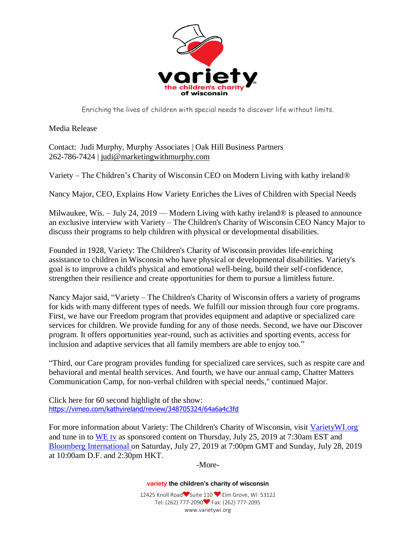

Enriching the lives of children with special needs to discover life without limits.

Media Release

Contact: Judi Murphy, Murphy Associates | Oak Hill Business Partners 262-786-7424 | [judi@marketingwithmurphy.com](mailto:judi@marketingwithmurphy.com)

Variety – The Children's Charity of Wisconsin CEO on Modern Living with kathy ireland®

Nancy Major, CEO, Explains How Variety Enriches the Lives of Children with Special Needs

Milwaukee, Wis. – July 24, 2019 — Modern Living with kathy ireland® is pleased to announce an exclusive interview with Variety – The Children's Charity of Wisconsin CEO Nancy Major to discuss their programs to help children with physical or developmental disabilities.

Founded in 1928, Variety: The Children's Charity of Wisconsin provides life-enriching assistance to children in Wisconsin who have physical or developmental disabilities. Variety's goal is to improve a child's physical and emotional well-being, build their self-confidence, strengthen their resilience and create opportunities for them to pursue a limitless future.

Nancy Major said, "Variety – The Children's Charity of Wisconsin offers a variety of programs for kids with many different types of needs. We fulfill our mission through four core programs. First, we have our Freedom program that provides equipment and adaptive or specialized care services for children. We provide funding for any of those needs. Second, we have our Discover program. It offers opportunities year-round, such as activities and sporting events, access for inclusion and adaptive services that all family members are able to enjoy too."

"Third, our Care program provides funding for specialized care services, such as respite care and behavioral and mental health services. And fourth, we have our annual camp, Chatter Matters Communication Camp, for non-verbal children with special needs," continued Major.

Click here for 60 second highlight of the show: <https://vimeo.com/kathyireland/review/348705324/64a6a4c3fd>

For more information about Variety: The Children's Charity of Wisconsin, visit [VarietyWI.org](https://varietywi.org/) and tune in to [WE tv](http://tvlistings.zap2it.com/tvlistings/ZCGrid.do?aid=zap2it) as sponsored content on Thursday, July 25, 2019 at 7:30am EST and [Bloomberg International](https://www.bloomberg.com/live/schedule-shows) on Saturday, July 27, 2019 at 7:00pm GMT and Sunday, July 28, 2019 at 10:00am D.F. and 2:30pm HKT.

-More-

**variety the children's charity of wisconsin**

12425 Knoll Road Suite 110 ■ Elm Grove, WI 53122 Tel: (262) 777-2090 Fax: (262) 777-2095 www.varietywi.org